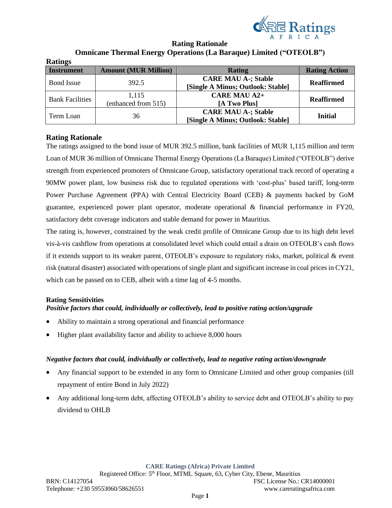

# **Rating Rationale Omnicane Thermal Energy Operations (La Baraque) Limited ("OTEOLB")**

| <b>Ratings</b>         |                             |                                   |                      |  |
|------------------------|-----------------------------|-----------------------------------|----------------------|--|
| <b>Instrument</b>      | <b>Amount (MUR Million)</b> | Rating                            | <b>Rating Action</b> |  |
|                        | 392.5                       | <b>CARE MAU A-; Stable</b>        | <b>Reaffirmed</b>    |  |
| <b>Bond</b> Issue      |                             | [Single A Minus; Outlook: Stable] |                      |  |
| <b>Bank Facilities</b> | 1,115                       | <b>CARE MAU A2+</b>               | <b>Reaffirmed</b>    |  |
|                        | (enhanced from 515)         | [A Two Plus]                      |                      |  |
|                        |                             | <b>CARE MAU A-; Stable</b>        |                      |  |
| Term Loan              | 36                          | [Single A Minus; Outlook: Stable] | <b>Initial</b>       |  |

# **Rating Rationale**

The ratings assigned to the bond issue of MUR 392.5 million, bank facilities of MUR 1,115 million and term Loan of MUR 36 million of Omnicane Thermal Energy Operations (La Baraque) Limited ("OTEOLB") derive strength from experienced promoters of Omnicane Group, satisfactory operational track record of operating a 90MW power plant, low business risk due to regulated operations with 'cost-plus' based tariff, long-term Power Purchase Agreement (PPA) with Central Electricity Board (CEB) & payments backed by GoM guarantee, experienced power plant operator, moderate operational & financial performance in FY20, satisfactory debt coverage indicators and stable demand for power in Mauritius.

The rating is, however, constrained by the weak credit profile of Omnicane Group due to its high debt level vis-à-vis cashflow from operations at consolidated level which could entail a drain on OTEOLB's cash flows if it extends support to its weaker parent, OTEOLB's exposure to regulatory risks, market, political  $\&$  event risk (natural disaster) associated with operations of single plant and significant increase in coal prices in CY21, which can be passed on to CEB, albeit with a time lag of 4-5 months.

# **Rating Sensitivities**

# *Positive factors that could, individually or collectively, lead to positive rating action/upgrade*

- Ability to maintain a strong operational and financial performance
- Higher plant availability factor and ability to achieve 8,000 hours

# *Negative factors that could, individually or collectively, lead to negative rating action/downgrade*

- Any financial support to be extended in any form to Omnicane Limited and other group companies (till repayment of entire Bond in July 2022)
- Any additional long-term debt, affecting OTEOLB's ability to service debt and OTEOLB's ability to pay dividend to OHLB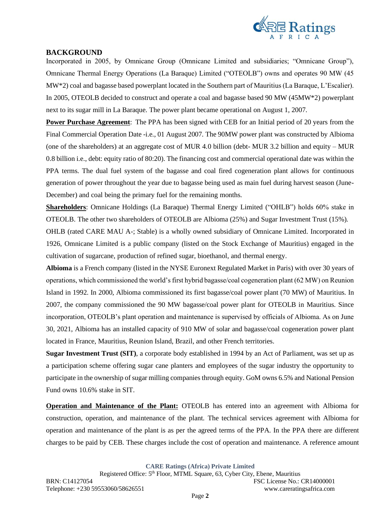

## **BACKGROUND**

Incorporated in 2005, by Omnicane Group (Omnicane Limited and subsidiaries; "Omnicane Group"), Omnicane Thermal Energy Operations (La Baraque) Limited ("OTEOLB") owns and operates 90 MW (45 MW\*2) coal and bagasse based powerplant located in the Southern part of Mauritius (La Baraque, L'Escalier). In 2005, OTEOLB decided to construct and operate a coal and bagasse based 90 MW (45MW\*2) powerplant next to its sugar mill in La Baraque. The power plant became operational on August 1, 2007.

**Power Purchase Agreement**: The PPA has been signed with CEB for an Initial period of 20 years from the Final Commercial Operation Date -i.e., 01 August 2007. The 90MW power plant was constructed by Albioma (one of the shareholders) at an aggregate cost of MUR 4.0 billion (debt- MUR 3.2 billion and equity – MUR 0.8 billion i.e., debt: equity ratio of 80:20). The financing cost and commercial operational date was within the PPA terms. The dual fuel system of the bagasse and coal fired cogeneration plant allows for continuous generation of power throughout the year due to bagasse being used as main fuel during harvest season (June-December) and coal being the primary fuel for the remaining months.

**Shareholders**: Omnicane Holdings (La Baraque) Thermal Energy Limited ("OHLB") holds 60% stake in OTEOLB. The other two shareholders of OTEOLB are Albioma (25%) and Sugar Investment Trust (15%).

OHLB (rated CARE MAU A-; Stable) is a wholly owned subsidiary of Omnicane Limited. Incorporated in 1926, Omnicane Limited is a public company (listed on the Stock Exchange of Mauritius) engaged in the cultivation of sugarcane, production of refined sugar, bioethanol, and thermal energy.

**Albioma** is a French company (listed in the NYSE Euronext Regulated Market in Paris) with over 30 years of operations, which commissioned the world's first hybrid bagasse/coal cogeneration plant (62 MW) on Reunion Island in 1992. In 2000, Albioma commissioned its first bagasse/coal power plant (70 MW) of Mauritius. In 2007, the company commissioned the 90 MW bagasse/coal power plant for OTEOLB in Mauritius. Since incorporation, OTEOLB's plant operation and maintenance is supervised by officials of Albioma. As on June 30, 2021, Albioma has an installed capacity of 910 MW of solar and bagasse/coal cogeneration power plant located in France, Mauritius, Reunion Island, Brazil, and other French territories.

**Sugar Investment Trust (SIT)**, a corporate body established in 1994 by an Act of Parliament, was set up as a participation scheme offering sugar cane planters and employees of the sugar industry the opportunity to participate in the ownership of sugar milling companies through equity. GoM owns 6.5% and National Pension Fund owns 10.6% stake in SIT.

**Operation and Maintenance of the Plant:** OTEOLB has entered into an agreement with Albioma for construction, operation, and maintenance of the plant. The technical services agreement with Albioma for operation and maintenance of the plant is as per the agreed terms of the PPA. In the PPA there are different charges to be paid by CEB. These charges include the cost of operation and maintenance. A reference amount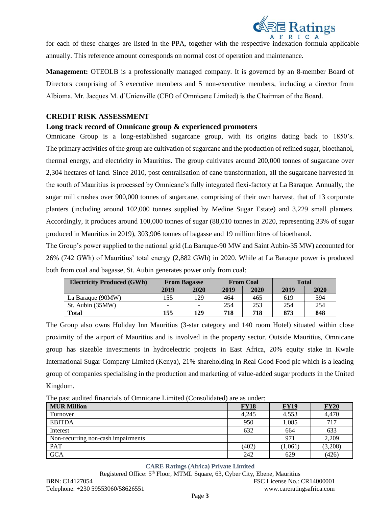

for each of these charges are listed in the PPA, together with the respective indexation formula applicable annually. This reference amount corresponds on normal cost of operation and maintenance.

**Management:** OTEOLB is a professionally managed company. It is governed by an 8-member Board of Directors comprising of 3 executive members and 5 non-executive members, including a director from Albioma. Mr. Jacques M. d'Unienville (CEO of Omnicane Limited) is the Chairman of the Board.

# **CREDIT RISK ASSESSMENT**

## **Long track record of Omnicane group & experienced promoters**

Omnicane Group is a long-established sugarcane group, with its origins dating back to 1850's. The primary activities of the group are cultivation of sugarcane and the production of refined sugar, bioethanol, thermal energy, and electricity in Mauritius. The group cultivates around 200,000 tonnes of sugarcane over 2,304 hectares of land. Since 2010, post centralisation of cane transformation, all the sugarcane harvested in the south of Mauritius is processed by Omnicane's fully integrated flexi-factory at La Baraque. Annually, the sugar mill crushes over 900,000 tonnes of sugarcane, comprising of their own harvest, that of 13 corporate planters (including around 102,000 tonnes supplied by Medine Sugar Estate) and 3,229 small planters. Accordingly, it produces around 100,000 tonnes of sugar (88,010 tonnes in 2020, representing 33% of sugar produced in Mauritius in 2019), 303,906 tonnes of bagasse and 19 million litres of bioethanol.

The Group's power supplied to the national grid (La Baraque-90 MW and Saint Aubin-35 MW) accounted for 26% (742 GWh) of Mauritius' total energy (2,882 GWh) in 2020. While at La Baraque power is produced both from coal and bagasse, St. Aubin generates power only from coal:

| <b>Electricity Produced (GWh)</b> | <b>From Bagasse</b> |      | <b>From Coal</b> |      | <b>Total</b> |      |
|-----------------------------------|---------------------|------|------------------|------|--------------|------|
|                                   | 2019                | 2020 | 2019             | 2020 | 2019         | 2020 |
| La Baraque (90MW)                 | 155                 | 129  | 464              | 465  | 619          | 594  |
| St. Aubin (35MW)                  | -                   |      | 254              | 253  | 254          | 254  |
| <b>Total</b>                      | 155                 | 129  | 718              | 718  | 873          | 848  |

The Group also owns Holiday Inn Mauritius (3-star category and 140 room Hotel) situated within close proximity of the airport of Mauritius and is involved in the property sector. Outside Mauritius, Omnicane group has sizeable investments in hydroelectric projects in East Africa, 20% equity stake in Kwale International Sugar Company Limited (Kenya), 21% shareholding in Real Good Food plc which is a leading group of companies specialising in the production and marketing of value-added sugar products in the United Kingdom.

The past audited financials of Omnicane Limited (Consolidated) are as under:

| <b>MUR Million</b>                 | <b>FY18</b> | <b>FY19</b> | <b>FY20</b> |
|------------------------------------|-------------|-------------|-------------|
| Turnover                           | 4,245       | 4,553       | 4,470       |
| <b>EBITDA</b>                      | 950         | 1,085       | 717         |
| Interest                           | 632         | 664         | 633         |
| Non-recurring non-cash impairments |             | 971         | 2.209       |
| <b>PAT</b>                         | (402)       | (1,061)     | (3,208)     |
| <b>GCA</b>                         | 242         | 629         | (426)       |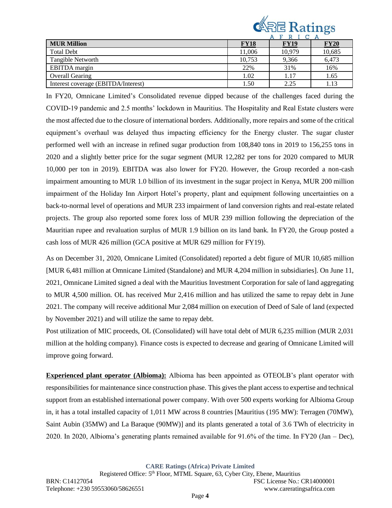

|                                     |             | <u>.</u>    |             |
|-------------------------------------|-------------|-------------|-------------|
| <b>MUR Million</b>                  | <b>FY18</b> | <b>FY19</b> | <b>FY20</b> |
| <b>Total Debt</b>                   | 11,006      | 10,979      | 10,685      |
| Tangible Networth                   | 10.753      | 9,366       | 6,473       |
| <b>EBITDA</b> margin                | 22%         | 31%         | 16%         |
| <b>Overall Gearing</b>              | 1.02        |             | 1.65        |
| Interest coverage (EBITDA/Interest) | 1.50        | 2.25        | 1.13        |

In FY20, Omnicane Limited's Consolidated revenue dipped because of the challenges faced during the COVID-19 pandemic and 2.5 months' lockdown in Mauritius. The Hospitality and Real Estate clusters were the most affected due to the closure of international borders. Additionally, more repairs and some of the critical equipment's overhaul was delayed thus impacting efficiency for the Energy cluster. The sugar cluster performed well with an increase in refined sugar production from 108,840 tons in 2019 to 156,255 tons in 2020 and a slightly better price for the sugar segment (MUR 12,282 per tons for 2020 compared to MUR 10,000 per ton in 2019). EBITDA was also lower for FY20. However, the Group recorded a non-cash impairment amounting to MUR 1.0 billion of its investment in the sugar project in Kenya, MUR 200 million impairment of the Holiday Inn Airport Hotel's property, plant and equipment following uncertainties on a back-to-normal level of operations and MUR 233 impairment of land conversion rights and real-estate related projects. The group also reported some forex loss of MUR 239 million following the depreciation of the Mauritian rupee and revaluation surplus of MUR 1.9 billion on its land bank. In FY20, the Group posted a cash loss of MUR 426 million (GCA positive at MUR 629 million for FY19).

As on December 31, 2020, Omnicane Limited (Consolidated) reported a debt figure of MUR 10,685 million [MUR 6,481 million at Omnicane Limited (Standalone) and MUR 4,204 million in subsidiaries]. On June 11, 2021, Omnicane Limited signed a deal with the Mauritius Investment Corporation for sale of land aggregating to MUR 4,500 million. OL has received Mur 2,416 million and has utilized the same to repay debt in June 2021. The company will receive additional Mur 2,084 million on execution of Deed of Sale of land (expected by November 2021) and will utilize the same to repay debt.

Post utilization of MIC proceeds, OL (Consolidated) will have total debt of MUR 6,235 million (MUR 2,031 million at the holding company). Finance costs is expected to decrease and gearing of Omnicane Limited will improve going forward.

**Experienced plant operator (Albioma):** Albioma has been appointed as OTEOLB's plant operator with responsibilities for maintenance since construction phase. This gives the plant access to expertise and technical support from an established international power company. With over 500 experts working for Albioma Group in, it has a total installed capacity of 1,011 MW across 8 countries [Mauritius (195 MW): Terragen (70MW), Saint Aubin (35MW) and La Baraque (90MW)] and its plants generated a total of 3.6 TWh of electricity in 2020. In 2020, Albioma's generating plants remained available for 91.6% of the time. In FY20 (Jan – Dec),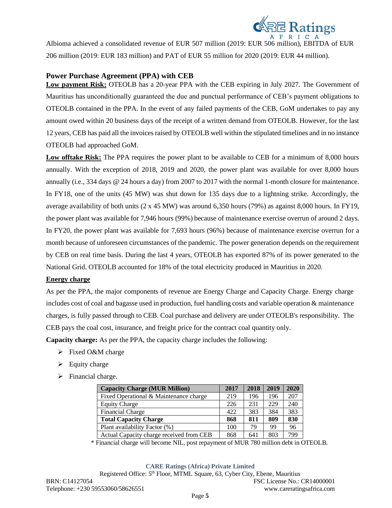

Albioma achieved a consolidated revenue of EUR 507 million (2019: EUR 506 million), EBITDA of EUR 206 million (2019: EUR 183 million) and PAT of EUR 55 million for 2020 (2019: EUR 44 million).

# **Power Purchase Agreement (PPA) with CEB**

**Low payment Risk:** OTEOLB has a 20-year PPA with the CEB expiring in July 2027. The Government of Mauritius has unconditionally guaranteed the due and punctual performance of CEB's payment obligations to OTEOLB contained in the PPA. In the event of any failed payments of the CEB, GoM undertakes to pay any amount owed within 20 business days of the receipt of a written demand from OTEOLB. However, for the last 12 years, CEB has paid all the invoices raised by OTEOLB well within the stipulated timelines and in no instance OTEOLB had approached GoM.

**Low offtake Risk:** The PPA requires the power plant to be available to CEB for a minimum of 8,000 hours annually. With the exception of 2018, 2019 and 2020, the power plant was available for over 8,000 hours annually (i.e., 334 days @ 24 hours a day) from 2007 to 2017 with the normal 1-month closure for maintenance. In FY18, one of the units (45 MW) was shut down for 135 days due to a lightning strike. Accordingly, the average availability of both units (2 x 45 MW) was around 6,350 hours (79%) as against 8,000 hours. In FY19, the power plant was available for 7,946 hours (99%) because of maintenance exercise overrun of around 2 days. In FY20, the power plant was available for 7,693 hours (96%) because of maintenance exercise overrun for a month because of unforeseen circumstances of the pandemic. The power generation depends on the requirement by CEB on real time basis. During the last 4 years, OTEOLB has exported 87% of its power generated to the National Grid. OTEOLB accounted for 18% of the total electricity produced in Mauritius in 2020.

# **Energy charge**

As per the PPA, the major components of revenue are Energy Charge and Capacity Charge. Energy charge includes cost of coal and bagasse used in production, fuel handling costs and variable operation & maintenance charges, is fully passed through to CEB. Coal purchase and delivery are under OTEOLB's responsibility. The CEB pays the coal cost, insurance, and freight price for the contract coal quantity only.

**Capacity charge:** As per the PPA, the capacity charge includes the following:

- ➢ Fixed O&M charge
- $\triangleright$  Equity charge
- ➢ Financial charge.

| <b>Capacity Charge (MUR Million)</b>     | 2017 | 2018 | 2019 | 2020 |
|------------------------------------------|------|------|------|------|
|                                          |      |      |      |      |
| Fixed Operational & Maintenance charge   | 219  | 196  | 196  | 207  |
| <b>Equity Charge</b>                     | 226  | 231  | 229  | 240  |
| <b>Financial Charge</b>                  | 422  | 383  | 384  | 383  |
| <b>Total Capacity Charge</b>             | 868  | 811  | 809  | 830  |
| Plant availability Factor (%)            | 100  | 79   | 99   | 96   |
| Actual Capacity charge received from CEB | 868  | 641  | 803  | 799  |

\* Financial charge will become NIL, post repayment of MUR 780 million debt in OTEOLB.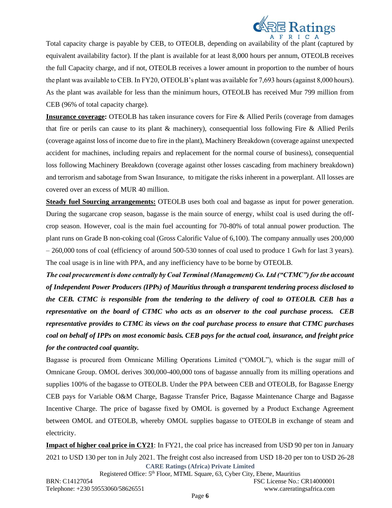

Total capacity charge is payable by CEB, to OTEOLB, depending on availability of the plant (captured by equivalent availability factor). If the plant is available for at least 8,000 hours per annum, OTEOLB receives the full Capacity charge, and if not, OTEOLB receives a lower amount in proportion to the number of hours the plant was available to CEB. In FY20, OTEOLB's plant was available for 7,693 hours (against 8,000 hours). As the plant was available for less than the minimum hours, OTEOLB has received Mur 799 million from CEB (96% of total capacity charge).

**Insurance coverage:** OTEOLB has taken insurance covers for Fire & Allied Perils (coverage from damages) that fire or perils can cause to its plant & machinery), consequential loss following Fire & Allied Perils (coverage against loss of income due to fire in the plant), Machinery Breakdown (coverage against unexpected accident for machines, including repairs and replacement for the normal course of business), consequential loss following Machinery Breakdown (coverage against other losses cascading from machinery breakdown) and terrorism and sabotage from Swan Insurance, to mitigate the risks inherent in a powerplant. All losses are covered over an excess of MUR 40 million.

**Steady fuel Sourcing arrangements:** OTEOLB uses both coal and bagasse as input for power generation. During the sugarcane crop season, bagasse is the main source of energy, whilst coal is used during the offcrop season. However, coal is the main fuel accounting for 70-80% of total annual power production. The plant runs on Grade B non-coking coal (Gross Calorific Value of 6,100). The company annually uses 200,000 – 260,000 tons of coal (efficiency of around 500-530 tonnes of coal used to produce 1 Gwh for last 3 years). The coal usage is in line with PPA, and any inefficiency have to be borne by OTEOLB.

*The coal procurement is done centrally by Coal Terminal (Management) Co. Ltd ("CTMC") for the account of Independent Power Producers (IPPs) of Mauritius through a transparent tendering process disclosed to the CEB. CTMC is responsible from the tendering to the delivery of coal to OTEOLB. CEB has a representative on the board of CTMC who acts as an observer to the coal purchase process. CEB representative provides to CTMC its views on the coal purchase process to ensure that CTMC purchases coal on behalf of IPPs on most economic basis. CEB pays for the actual coal, insurance, and freight price for the contracted coal quantity.* 

Bagasse is procured from Omnicane Milling Operations Limited ("OMOL"), which is the sugar mill of Omnicane Group. OMOL derives 300,000-400,000 tons of bagasse annually from its milling operations and supplies 100% of the bagasse to OTEOLB. Under the PPA between CEB and OTEOLB, for Bagasse Energy CEB pays for Variable O&M Charge, Bagasse Transfer Price, Bagasse Maintenance Charge and Bagasse Incentive Charge. The price of bagasse fixed by OMOL is governed by a Product Exchange Agreement between OMOL and OTEOLB, whereby OMOL supplies bagasse to OTEOLB in exchange of steam and electricity.

**CARE Ratings (Africa) Private Limited Impact of higher coal price in CY21**: In FY21, the coal price has increased from USD 90 per ton in January 2021 to USD 130 per ton in July 2021. The freight cost also increased from USD 18-20 per ton to USD 26-28

Registered Office: 5<sup>th</sup> Floor, MTML Square, 63, Cyber City, Ebene, Mauritius BRN: C14127054 FSC License No.: CR14000001 Telephone: +230 59553060/58626551 www.careratingsafrica.com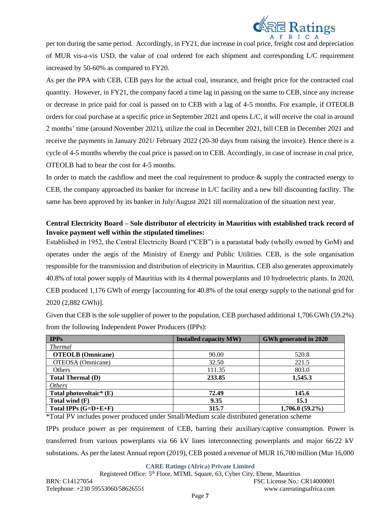

per ton during the same period. Accordingly, in FY21, due increase in coal price, freight cost and depreciation of MUR vis-a-vis USD, the value of coal ordered for each shipment and corresponding L/C requirement increased by 50-60% as compared to FY20.

As per the PPA with CEB, CEB pays for the actual coal, insurance, and freight price for the contracted coal quantity. However, in FY21, the company faced a time lag in passing on the same to CEB, since any increase or decrease in price paid for coal is passed on to CEB with a lag of 4-5 months. For example, if OTEOLB orders for coal purchase at a specific price in September 2021 and opens L/C, it will receive the coal in around 2 months' time (around November 2021), utilize the coal in December 2021, bill CEB in December 2021 and receive the payments in January 2021/ February 2022 (20-30 days from raising the invoice). Hence there is a cycle of 4-5 months whereby the coal price is passed on to CEB. Accordingly, in case of increase in coal price, OTEOLB had to bear the cost for 4-5 months.

In order to match the cashflow and meet the coal requirement to produce  $\&$  supply the contracted energy to CEB, the company approached its banker for increase in L/C facility and a new bill discounting facility. The same has been approved by its banker in July/August 2021 till normalization of the situation next year.

# **Central Electricity Board – Sole distributor of electricity in Mauritius with established track record of Invoice payment well within the stipulated timelines:**

Established in 1952, the Central Electricity Board ("CEB") is a parastatal body (wholly owned by GoM) and operates under the aegis of the Ministry of Energy and Public Utilities. CEB, is the sole organisation responsible for the transmission and distribution of electricity in Mauritius. CEB also generates approximately 40.8% of total power supply of Mauritius with its 4 thermal powerplants and 10 hydroelectric plants. In 2020, CEB produced 1,176 GWh of energy [accounting for 40.8% of the total energy supply to the national grid for 2020 (2,882 GWh)].

Given that CEB is the sole supplier of power to the population, CEB purchased additional 1,706 GWh (59.2%) from the following Independent Power Producers (IPPs):

| <b>IPPs</b>               | <b>Installed capacity MW)</b> | GWh generated in 2020 |
|---------------------------|-------------------------------|-----------------------|
| <b>Thermal</b>            |                               |                       |
| <b>OTEOLB</b> (Omnicane)  | 90.00                         | 520.8                 |
| OTEOSA (Omnicane)         | 32.50                         | 221.5                 |
| Others                    | 111.35                        | 803.0                 |
| <b>Total Thermal (D)</b>  | 233.85                        | 1,545.3               |
| <b>Others</b>             |                               |                       |
| Total photovoltaic* $(E)$ | 72.49                         | 145.6                 |
| Total wind $(F)$          | 9.35                          | 15.1                  |
| Total IPPs $(G=D+E+F)$    | 315.7                         | $1,706.0(59.2\%)$     |

\*Total PV includes power produced under Small/Medium scale distributed generation scheme

IPPs produce power as per requirement of CEB, barring their auxiliary/captive consumption. Power is transferred from various powerplants via 66 kV lines interconnecting powerplants and major 66/22 kV substations. As per the latest Annual report (2019), CEB posted a revenue of MUR 16,700 million (Mur 16,000

**CARE Ratings (Africa) Private Limited**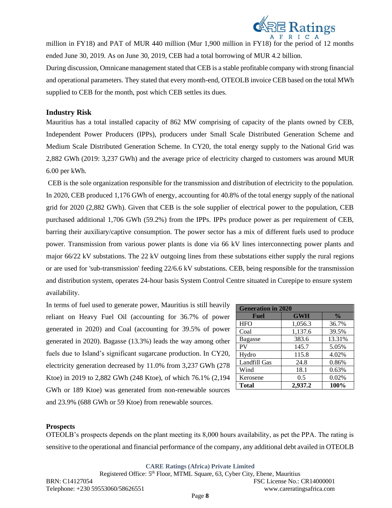

million in FY18) and PAT of MUR 440 million (Mur 1,900 million in FY18) for the period of 12 months ended June 30, 2019. As on June 30, 2019, CEB had a total borrowing of MUR 4.2 billion.

During discussion, Omnicane management stated that CEB is a stable profitable company with strong financial and operational parameters. They stated that every month-end, OTEOLB invoice CEB based on the total MWh supplied to CEB for the month, post which CEB settles its dues.

### **Industry Risk**

Mauritius has a total installed capacity of 862 MW comprising of capacity of the plants owned by CEB, Independent Power Producers (IPPs), producers under Small Scale Distributed Generation Scheme and Medium Scale Distributed Generation Scheme. In CY20, the total energy supply to the National Grid was 2,882 GWh (2019: 3,237 GWh) and the average price of electricity charged to customers was around MUR 6.00 per kWh.

CEB is the sole organization responsible for the transmission and distribution of electricity to the population. In 2020, CEB produced 1,176 GWh of energy, accounting for 40.8% of the total energy supply of the national grid for 2020 (2,882 GWh). Given that CEB is the sole supplier of electrical power to the population, CEB purchased additional 1,706 GWh (59.2%) from the IPPs. IPPs produce power as per requirement of CEB, barring their auxiliary/captive consumption. The power sector has a mix of different fuels used to produce power. Transmission from various power plants is done via 66 kV lines interconnecting power plants and major 66/22 kV substations. The 22 kV outgoing lines from these substations either supply the rural regions or are used for 'sub-transmission' feeding 22/6.6 kV substations. CEB, being responsible for the transmission and distribution system, operates 24-hour basis System Control Centre situated in Curepipe to ensure system availability.

In terms of fuel used to generate power, Mauritius is still heavily reliant on Heavy Fuel Oil (accounting for 36.7% of power generated in 2020) and Coal (accounting for 39.5% of power generated in 2020). Bagasse (13.3%) leads the way among other fuels due to Island's significant sugarcane production. In CY20, electricity generation decreased by 11.0% from 3,237 GWh (278 Ktoe) in 2019 to 2,882 GWh (248 Ktoe), of which 76.1% (2,194 GWh or 189 Ktoe) was generated from non-renewable sources and 23.9% (688 GWh or 59 Ktoe) from renewable sources.

| <b>Generation in 2020</b> |            |               |  |  |  |
|---------------------------|------------|---------------|--|--|--|
| Fuel                      | <b>GWH</b> | $\frac{0}{0}$ |  |  |  |
| <b>HFO</b>                | 1,056.3    | 36.7%         |  |  |  |
| Coal                      | 1,137.6    | 39.5%         |  |  |  |
| <b>Bagasse</b>            | 383.6      | 13.31%        |  |  |  |
| PV                        | 145.7      | 5.05%         |  |  |  |
| Hydro                     | 115.8      | 4.02%         |  |  |  |
| Landfill Gas              | 24.8       | 0.86%         |  |  |  |
| Wind                      | 18.1       | 0.63%         |  |  |  |
| Kerosene                  | 0.5        | 0.02%         |  |  |  |
| <b>Total</b>              | 2,937.2    | 100%          |  |  |  |

#### **Prospects**

OTEOLB's prospects depends on the plant meeting its 8,000 hours availability, as pet the PPA. The rating is sensitive to the operational and financial performance of the company, any additional debt availed in OTEOLB

**CARE Ratings (Africa) Private Limited**

Registered Office: 5<sup>th</sup> Floor, MTML Square, 63, Cyber City, Ebene, Mauritius BRN: C14127054 FSC License No.: CR14000001 Telephone: +230 59553060/58626551 www.careratingsafrica.com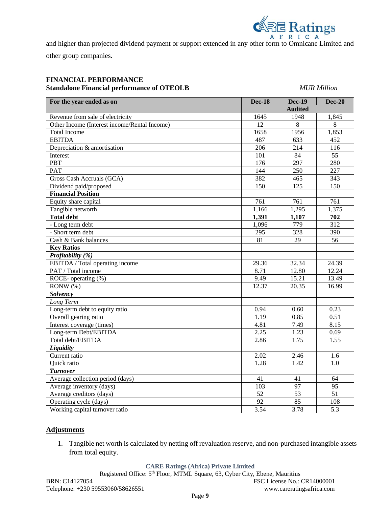

and higher than projected dividend payment or support extended in any other form to Omnicane Limited and other group companies.

# **FINANCIAL PERFORMANCE Standalone Financial performance of OTEOLB** *MUR Million*

| For the year ended as on                     | <b>Dec-18</b>   | <b>Dec-19</b>  | <b>Dec-20</b>    |
|----------------------------------------------|-----------------|----------------|------------------|
|                                              |                 | <b>Audited</b> |                  |
| Revenue from sale of electricity             | 1645            | 1948           | 1,845            |
| Other Income (Interest income/Rental Income) | 12              | 8              | 8                |
| <b>Total Income</b>                          | 1658            | 1956           | 1,853            |
| <b>EBITDA</b>                                | 487             | 633            | 452              |
| Depreciation & amortisation                  | 206             | 214            | 116              |
| Interest                                     | 101             | 84             | 55               |
| <b>PBT</b>                                   | 176             | 297            | 280              |
| PAT                                          | 144             | 250            | 227              |
| Gross Cash Accruals (GCA)                    | 382             | 465            | 343              |
| Dividend paid/proposed                       | 150             | 125            | 150              |
| <b>Financial Position</b>                    |                 |                |                  |
| Equity share capital                         | 761             | 761            | 761              |
| Tangible networth                            | 1,166           | 1,295          | 1,375            |
| <b>Total debt</b>                            | 1,391           | 1,107          | 702              |
| - Long term debt                             | 1,096           | 779            | 312              |
| - Short term debt                            | 295             | 328            | 390              |
| Cash & Bank balances                         | 81              | 29             | 56               |
| <b>Key Ratios</b>                            |                 |                |                  |
| Profitability (%)                            |                 |                |                  |
| EBITDA / Total operating income              | 29.36           | 32.34          | 24.39            |
| PAT / Total income                           | 8.71            | 12.80          | 12.24            |
| ROCE-operating (%)                           | 9.49            | 15.21          | 13.49            |
| RONW (%)                                     | 12.37           | 20.35          | 16.99            |
| Solvency                                     |                 |                |                  |
| Long Term                                    |                 |                |                  |
| Long-term debt to equity ratio               | 0.94            | 0.60           | 0.23             |
| Overall gearing ratio                        | 1.19            | 0.85           | 0.51             |
| Interest coverage (times)                    | 4.81            | 7.49           | 8.15             |
| Long-term Debt/EBITDA                        | 2.25            | 1.23           | 0.69             |
| Total debt/EBITDA                            | 2.86            | 1.75           | 1.55             |
| Liquidity                                    |                 |                |                  |
| Current ratio                                | 2.02            | 2.46           | 1.6              |
| Quick ratio                                  | 1.28            | 1.42           | 1.0              |
| <b>Turnover</b>                              |                 |                |                  |
| Average collection period (days)             | 41              | 41             | 64               |
| Average inventory (days)                     | 103             | 97             | 95               |
| Average creditors (days)                     | $\overline{52}$ | 53             | 51               |
| Operating cycle (days)                       | 92              | 85             | 108              |
| Working capital turnover ratio               | 3.54            | 3.78           | $\overline{5.3}$ |

#### **Adjustments**

1. Tangible net worth is calculated by netting off revaluation reserve, and non-purchased intangible assets from total equity.

### **CARE Ratings (Africa) Private Limited**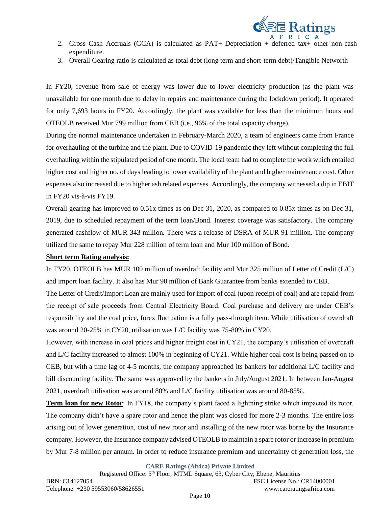

- 2. Gross Cash Accruals (GCA) is calculated as PAT+ Depreciation + deferred tax+ other non-cash expenditure.
- 3. Overall Gearing ratio is calculated as total debt (long term and short-term debt)/Tangible Networth

In FY20, revenue from sale of energy was lower due to lower electricity production (as the plant was unavailable for one month due to delay in repairs and maintenance during the lockdown period). It operated for only 7,693 hours in FY20. Accordingly, the plant was available for less than the minimum hours and OTEOLB received Mur 799 million from CEB (i.e., 96% of the total capacity charge).

During the normal maintenance undertaken in February-March 2020, a team of engineers came from France for overhauling of the turbine and the plant. Due to COVID-19 pandemic they left without completing the full overhauling within the stipulated period of one month. The local team had to complete the work which entailed higher cost and higher no. of days leading to lower availability of the plant and higher maintenance cost. Other expenses also increased due to higher ash related expenses. Accordingly, the company witnessed a dip in EBIT in FY20 vis-à-vis FY19.

Overall gearing has improved to 0.51x times as on Dec 31, 2020, as compared to 0.85x times as on Dec 31, 2019, due to scheduled repayment of the term loan/Bond. Interest coverage was satisfactory. The company generated cashflow of MUR 343 million. There was a release of DSRA of MUR 91 million. The company utilized the same to repay Mur 228 million of term loan and Mur 100 million of Bond.

#### **Short term Rating analysis:**

In FY20, OTEOLB has MUR 100 million of overdraft facility and Mur 325 million of Letter of Credit (L/C) and import loan facility. It also has Mur 90 million of Bank Guarantee from banks extended to CEB.

The Letter of Credit/Import Loan are mainly used for import of coal (upon receipt of coal) and are repaid from the receipt of sale proceeds from Central Electricity Board. Coal purchase and delivery are under CEB's responsibility and the coal price, forex fluctuation is a fully pass-through item. While utilisation of overdraft was around 20-25% in CY20, utilisation was L/C facility was 75-80% in CY20.

However, with increase in coal prices and higher freight cost in CY21, the company's utilisation of overdraft and L/C facility increased to almost 100% in beginning of CY21. While higher coal cost is being passed on to CEB, but with a time lag of 4-5 months, the company approached its bankers for additional L/C facility and bill discounting facility. The same was approved by the bankers in July/August 2021. In between Jan-August 2021, overdraft utilisation was around 80% and L/C facility utilisation was around 80-85%.

**Term loan for new Rotor**: In FY18, the company's plant faced a lightning strike which impacted its rotor. The company didn't have a spare rotor and hence the plant was closed for more 2-3 months. The entire loss arising out of lower generation, cost of new rotor and installing of the new rotor was borne by the Insurance company. However, the Insurance company advised OTEOLB to maintain a spare rotor or increase in premium by Mur 7-8 million per annum. In order to reduce insurance premium and uncertainty of generation loss, the